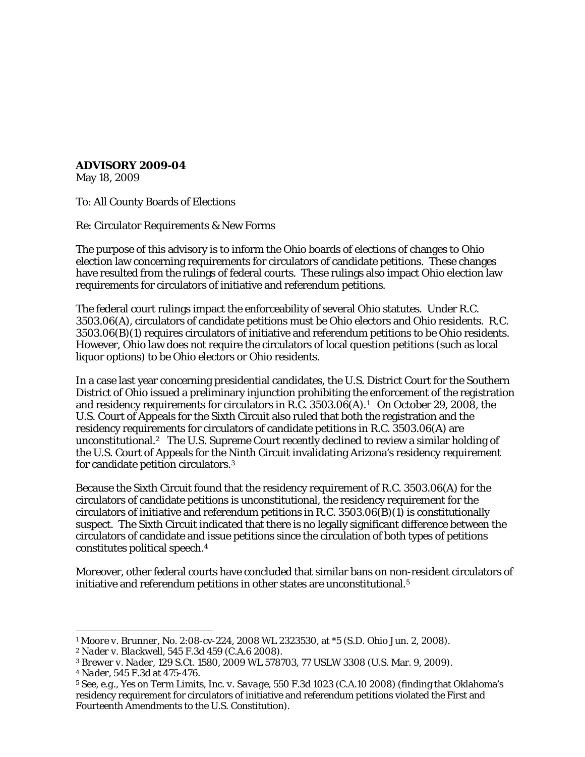**ADVISORY 2009-04**

May 18, 2009

To: All County Boards of Elections

Re: Circulator Requirements & New Forms

The purpose of this advisory is to inform the Ohio boards of elections of changes to Ohio election law concerning requirements for circulators of candidate petitions. These changes have resulted from the rulings of federal courts. These rulings also impact Ohio election law requirements for circulators of initiative and referendum petitions.

The federal court rulings impact the enforceability of several Ohio statutes. Under R.C. 3503.06(A), circulators of candidate petitions must be Ohio electors and Ohio residents. R.C. 3503.06(B)(1) requires circulators of initiative and referendum petitions to be Ohio residents. However, Ohio law does not require the circulators of local question petitions (such as local liquor options) to be Ohio electors or Ohio residents.

In a case last year concerning presidential candidates, the U.S. District Court for the Southern District of Ohio issued a preliminary injunction prohibiting the enforcement of the registration and residency requirements for circulators in R.C. 3503.06(A).[1](#page-0-0) On October 29, 2008, the U.S. Court of Appeals for the Sixth Circuit also ruled that both the registration and the residency requirements for circulators of candidate petitions in R.C. 3503.06(A) are unconstitutional.[2](#page-0-1) The U.S. Supreme Court recently declined to review a similar holding of the U.S. Court of Appeals for the Ninth Circuit invalidating Arizona's residency requirement for candidate petition circulators.[3](#page-0-2)

Because the Sixth Circuit found that the residency requirement of R.C. 3503.06(A) for the circulators of candidate petitions is unconstitutional, the residency requirement for the circulators of initiative and referendum petitions in R.C. 3503.06(B)(1) is constitutionally suspect. The Sixth Circuit indicated that there is no legally significant difference between the circulators of candidate and issue petitions since the circulation of both types of petitions constitutes political speech.[4](#page-0-3) 

Moreover, other federal courts have concluded that similar bans on non-resident circulators of initiative and referendum petitions in other states are unconstitutional.<sup>[5](#page-0-4)</sup>

 $\overline{a}$ 

<span id="page-0-0"></span><sup>1</sup> *Moore v. Brunner*, No. 2:08-cv-224, 2008 WL 2323530, at \*5 (S.D. Ohio Jun. 2, 2008).

<span id="page-0-1"></span><sup>2</sup> *Nader v. Blackwell*, 545 F.3d 459 (C.A.6 2008).

<span id="page-0-2"></span><sup>3</sup> *Brewer v. Nader*, 129 S.Ct. 1580, 2009 WL 578703, 77 USLW 3308 (U.S. Mar. 9, 2009).

<span id="page-0-3"></span><sup>4</sup> *Nader*, 545 F.3d at 475-476.

<span id="page-0-4"></span><sup>5</sup> See, *e.g., Yes on Term Limits, Inc. v. Savage*, 550 F.3d 1023 (C.A.10 2008) (finding that Oklahoma's residency requirement for circulators of initiative and referendum petitions violated the First and Fourteenth Amendments to the U.S. Constitution).